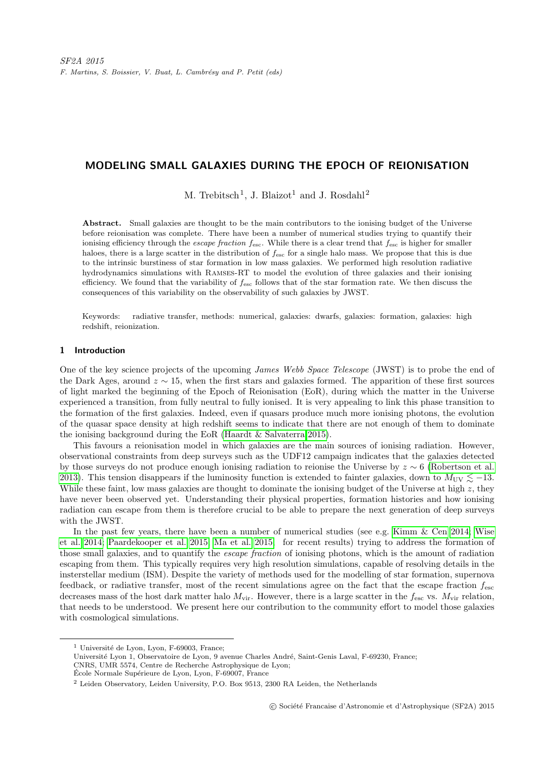# MODELING SMALL GALAXIES DURING THE EPOCH OF REIONISATION

M. Trebitsch<sup>1</sup>, J. Blaizot<sup>1</sup> and J. Rosdahl<sup>2</sup>

Abstract. Small galaxies are thought to be the main contributors to the ionising budget of the Universe before reionisation was complete. There have been a number of numerical studies trying to quantify their ionising efficiency through the *escape fraction*  $f_{\text{esc}}$ . While there is a clear trend that  $f_{\text{esc}}$  is higher for smaller haloes, there is a large scatter in the distribution of  $f_{\text{esc}}$  for a single halo mass. We propose that this is due to the intrinsic burstiness of star formation in low mass galaxies. We performed high resolution radiative hydrodynamics simulations with Ramses-RT to model the evolution of three galaxies and their ionising efficiency. We found that the variability of  $f_{\text{esc}}$  follows that of the star formation rate. We then discuss the consequences of this variability on the observability of such galaxies by JWST.

Keywords: radiative transfer, methods: numerical, galaxies: dwarfs, galaxies: formation, galaxies: high redshift, reionization.

## 1 Introduction

One of the key science projects of the upcoming James Webb Space Telescope (JWST) is to probe the end of the Dark Ages, around  $z \sim 15$ , when the first stars and galaxies formed. The apparition of these first sources of light marked the beginning of the Epoch of Reionisation (EoR), during which the matter in the Universe experienced a transition, from fully neutral to fully ionised. It is very appealing to link this phase transition to the formation of the first galaxies. Indeed, even if quasars produce much more ionising photons, the evolution of the quasar space density at high redshift seems to indicate that there are not enough of them to dominate the ionising background during the EoR [\(Haardt & Salvaterra 2015\)](#page-3-0).

This favours a reionisation model in which galaxies are the main sources of ionising radiation. However, observational constraints from deep surveys such as the UDF12 campaign indicates that the galaxies detected by those surveys do not produce enough ionising radiation to reionise the Universe by z ∼ 6 [\(Robertson et al.](#page-3-1) [2013\)](#page-3-1). This tension disappears if the luminosity function is extended to fainter galaxies, down to  $M_{\rm UV} \lesssim -13$ . While these faint, low mass galaxies are thought to dominate the ionising budget of the Universe at high  $z$ , they have never been observed yet. Understanding their physical properties, formation histories and how ionising radiation can escape from them is therefore crucial to be able to prepare the next generation of deep surveys with the JWST.

In the past few years, there have been a number of numerical studies (see e.g. [Kimm & Cen 2014;](#page-3-2) [Wise](#page-3-3) [et al. 2014;](#page-3-3) [Paardekooper et al. 2015;](#page-3-4) [Ma et al. 2015,](#page-3-5) for recent results) trying to address the formation of those small galaxies, and to quantify the escape fraction of ionising photons, which is the amount of radiation escaping from them. This typically requires very high resolution simulations, capable of resolving details in the insterstellar medium (ISM). Despite the variety of methods used for the modelling of star formation, supernova feedback, or radiative transfer, most of the recent simulations agree on the fact that the escape fraction fesc decreases mass of the host dark matter halo  $M_{\rm vir}$ . However, there is a large scatter in the  $f_{\rm esc}$  vs.  $M_{\rm vir}$  relation, that needs to be understood. We present here our contribution to the community effort to model those galaxies with cosmological simulations.

 $<sup>1</sup>$  Université de Lyon, Lyon, F-69003, France;</sup>

Université Lyon 1, Observatoire de Lyon, 9 avenue Charles André, Saint-Genis Laval, F-69230, France;

CNRS, UMR 5574, Centre de Recherche Astrophysique de Lyon;

École Normale Supérieure de Lyon, Lyon, F-69007, France

<sup>2</sup> Leiden Observatory, Leiden University, P.O. Box 9513, 2300 RA Leiden, the Netherlands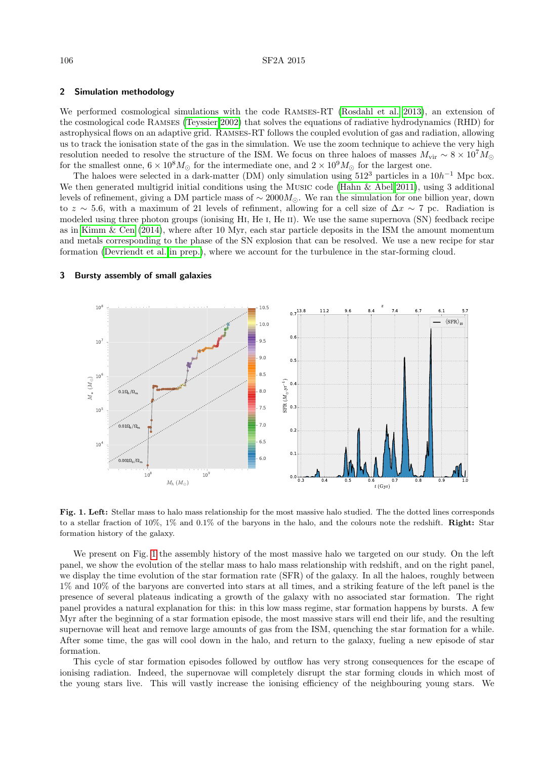## 2 Simulation methodology

We performed cosmological simulations with the code Ramses-RT [\(Rosdahl et al. 2013\)](#page-3-6), an extension of the cosmological code Ramses [\(Teyssier 2002\)](#page-3-7) that solves the equations of radiative hydrodynamics (RHD) for astrophysical flows on an adaptive grid. Ramses-RT follows the coupled evolution of gas and radiation, allowing us to track the ionisation state of the gas in the simulation. We use the zoom technique to achieve the very high resolution needed to resolve the structure of the ISM. We focus on three haloes of masses  $M_{\rm vir} \sim 8 \times 10^7 M_{\odot}$ for the smallest onne,  $6 \times 10^8 M_{\odot}$  for the intermediate one, and  $2 \times 10^9 M_{\odot}$  for the largest one.

The haloes were selected in a dark-matter (DM) only simulation using  $512^3$  particles in a  $10h^{-1}$  Mpc box. We then generated multigrid initial conditions using the Music code [\(Hahn & Abel 2011\)](#page-3-8), using 3 additional levels of refinement, giving a DM particle mass of  $\sim 2000 M_{\odot}$ . We ran the simulation for one billion year, down to z ∼ 5.6, with a maximum of 21 levels of refinment, allowing for a cell size of  $\Delta x \sim 7$  pc. Radiation is modeled using three photon groups (ionising HI, He I, He II). We use the same supernova (SN) feedback recipe as in [Kimm & Cen](#page-3-2) [\(2014\)](#page-3-2), where after 10 Myr, each star particle deposits in the ISM the amount momentum and metals corresponding to the phase of the SN explosion that can be resolved. We use a new recipe for star formation [\(Devriendt et al. in prep.\)](#page-3-9), where we account for the turbulence in the star-forming cloud.



#### 3 Bursty assembly of small galaxies

<span id="page-1-0"></span>Fig. 1. Left: Stellar mass to halo mass relationship for the most massive halo studied. The the dotted lines corresponds to a stellar fraction of 10%, 1% and 0.1% of the baryons in the halo, and the colours note the redshift. Right: Star formation history of the galaxy.

We present on Fig. [1](#page-1-0) the assembly history of the most massive halo we targeted on our study. On the left panel, we show the evolution of the stellar mass to halo mass relationship with redshift, and on the right panel, we display the time evolution of the star formation rate (SFR) of the galaxy. In all the haloes, roughly between 1% and 10% of the baryons are converted into stars at all times, and a striking feature of the left panel is the presence of several plateaus indicating a growth of the galaxy with no associated star formation. The right panel provides a natural explanation for this: in this low mass regime, star formation happens by bursts. A few Myr after the beginning of a star formation episode, the most massive stars will end their life, and the resulting supernovae will heat and remove large amounts of gas from the ISM, quenching the star formation for a while. After some time, the gas will cool down in the halo, and return to the galaxy, fueling a new episode of star formation.

This cycle of star formation episodes followed by outflow has very strong consequences for the escape of ionising radiation. Indeed, the supernovae will completely disrupt the star forming clouds in which most of the young stars live. This will vastly increase the ionising efficiency of the neighbouring young stars. We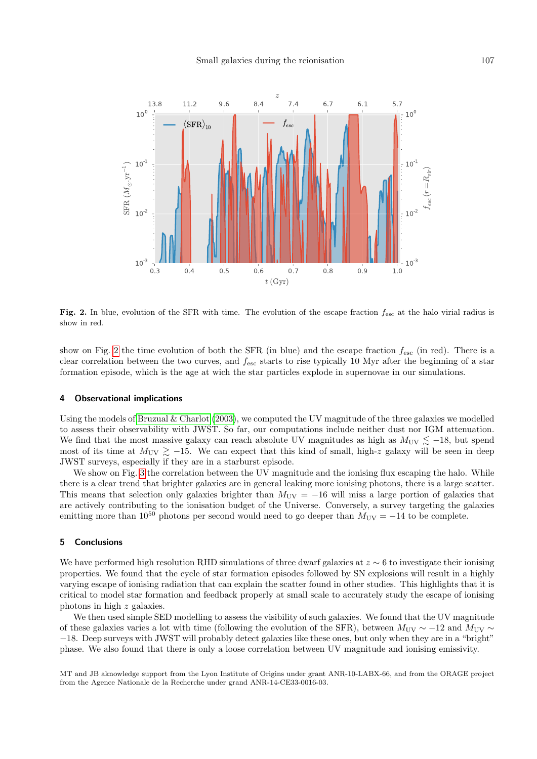

<span id="page-2-0"></span>Fig. 2. In blue, evolution of the SFR with time. The evolution of the escape fraction  $f_{\text{esc}}$  at the halo virial radius is show in red.

show on Fig. [2](#page-2-0) the time evolution of both the SFR (in blue) and the escape fraction  $f_{\text{esc}}$  (in red). There is a clear correlation between the two curves, and  $f_{\text{esc}}$  starts to rise typically 10 Myr after the beginning of a star formation episode, which is the age at wich the star particles explode in supernovae in our simulations.

# 4 Observational implications

Using the models of Bruzual  $&$  Charlot [\(2003\)](#page-3-10), we computed the UV magnitude of the three galaxies we modelled to assess their observability with JWST. So far, our computations include neither dust nor IGM attenuation. We find that the most massive galaxy can reach absolute UV magnitudes as high as  $M_{\text{UV}} \lesssim -18$ , but spend most of its time at  $M_{\text{UV}} \gtrsim -15$ . We can expect that this kind of small, high-z galaxy will be seen in deep JWST surveys, especially if they are in a starburst episode.

We show on Fig. [3](#page-3-11) the correlation between the UV magnitude and the ionising flux escaping the halo. While there is a clear trend that brighter galaxies are in general leaking more ionising photons, there is a large scatter. This means that selection only galaxies brighter than  $M_{\text{UV}} = -16$  will miss a large portion of galaxies that are actively contributing to the ionisation budget of the Universe. Conversely, a survey targeting the galaxies emitting more than  $10^{50}$  photons per second would need to go deeper than  $M_{\text{UV}} = -14$  to be complete.

#### 5 Conclusions

We have performed high resolution RHD simulations of three dwarf galaxies at  $z \sim 6$  to investigate their ionising properties. We found that the cycle of star formation episodes followed by SN explosions will result in a highly varying escape of ionising radiation that can explain the scatter found in other studies. This highlights that it is critical to model star formation and feedback properly at small scale to accurately study the escape of ionising photons in high z galaxies.

We then used simple SED modelling to assess the visibility of such galaxies. We found that the UV magnitude of these galaxies varies a lot with time (following the evolution of the SFR), between  $M_{\text{UV}} \sim -12$  and  $M_{\text{UV}} \sim$ −18. Deep surveys with JWST will probably detect galaxies like these ones, but only when they are in a "bright" phase. We also found that there is only a loose correlation between UV magnitude and ionising emissivity.

MT and JB aknowledge support from the Lyon Institute of Origins under grant ANR-10-LABX-66, and from the ORAGE project from the Agence Nationale de la Recherche under grand ANR-14-CE33-0016-03.